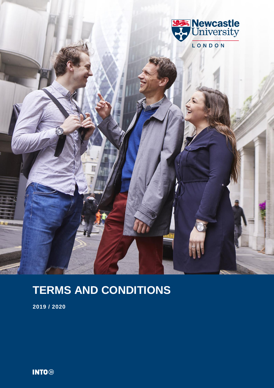

# **TERMS AND CONDITIONS**

**2019 / 2020**

**INTO**<sup>®</sup>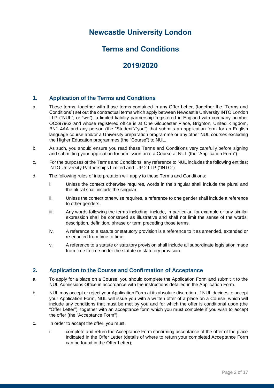# **Newcastle University London**

# **Terms and Conditions**

# **2019/2020**

# **1. Application of the Terms and Conditions**

- a. These terms, together with those terms contained in any Offer Letter, (together the "Terms and Conditions") set out the contractual terms which apply between Newcastle University INTO London LLP ("NUL", or "we"), a limited liability partnership registered in England with company number OC397962 and whose registered office is at One Gloucester Place, Brighton, United Kingdom, BN1 4AA and any person (the "Student"/"you") that submits an application form for an English language course and/or a University preparation programme or any other NUL courses excluding the Higher Education programmes (the "Course") to NUL.
- b. As such, you should ensure you read these Terms and Conditions very carefully before signing and submitting your application for admission onto a Course at NUL (the "Application Form").
- c. For the purposes of the Terms and Conditions, any reference to NUL includes the following entities: INTO University Partnerships Limited and IUP 2 LLP ("INTO").
- d. The following rules of interpretation will apply to these Terms and Conditions:
	- i. Unless the context otherwise requires, words in the singular shall include the plural and the plural shall include the singular.
	- ii. Unless the context otherwise requires, a reference to one gender shall include a reference to other genders.
	- iii. Any words following the terms including, include, in particular, for example or any similar expression shall be construed as illustrative and shall not limit the sense of the words, description, definition, phrase or term preceding those terms.
	- iv. A reference to a statute or statutory provision is a reference to it as amended, extended or re-enacted from time to time.
	- v. A reference to a statute or statutory provision shall include all subordinate legislation made from time to time under the statute or statutory provision.

## **2. Application to the Course and Confirmation of Acceptance**

- a. To apply for a place on a Course, you should complete the Application Form and submit it to the NUL Admissions Office in accordance with the instructions detailed in the Application Form.
- b. NUL may accept or reject your Application Form at its absolute discretion. If NUL decides to accept your Application Form, NUL will issue you with a written offer of a place on a Course, which will include any conditions that must be met by you and for which the offer is conditional upon (the "Offer Letter"), together with an acceptance form which you must complete if you wish to accept the offer (the "Acceptance Form").
- c. In order to accept the offer, you must:
	- i. complete and return the Acceptance Form confirming acceptance of the offer of the place indicated in the Offer Letter (details of where to return your completed Acceptance Form can be found in the Offer Letter);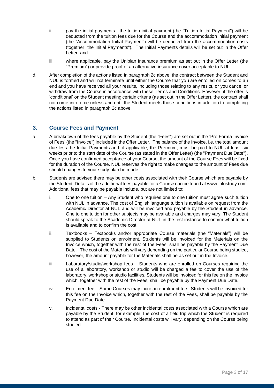- ii. pay the initial payments the tuition initial payment (the "Tuition Initial Payment") will be deducted from the tuition fees due for the Course and the accommodation initial payment (the "Accommodation Initial Payment") will be deducted from the accommodation costs (together "the Initial Payments"). The Initial Payments details will be set out in the Offer Letter; and
- iii. where applicable, pay the Uniplan Insurance premium as set out in the Offer Letter (the "Premium") or provide proof of an alternative insurance cover acceptable to NUL.
- d. After completion of the actions listed in paragraph 2c above, the contract between the Student and NUL is formed and will not terminate until either the Course that you are enrolled on comes to an end and you have received all your results, including those relating to any resits, or you cancel or withdraw from the Course in accordance with these Terms and Conditions. However, if the offer is 'conditional' on the Student meeting certain criteria (as set out in the Offer Letter), the contract shall not come into force unless and until the Student meets those conditions in addition to completing the actions listed in paragraph 2c above.

## **3. Course Fees and Payment**

- a. A breakdown of the fees payable by the Student (the "Fees") are set out in the 'Pro Forma Invoice of Fees' (the "Invoice") included in the Offer Letter. The balance of the Invoice, i.e. the total amount due less the Initial Payments and, if applicable, the Premium, must be paid to NUL at least six weeks prior to the start date of the Course (as stated in the Offer Letter) (the "Payment Due Date"). Once you have confirmed acceptance of your Course, the amount of the Course Fees will be fixed for the duration of the Course. NUL reserves the right to make changes to the amount of Fees due should changes to your study plan be made.
- b. Students are advised there may be other costs associated with their Course which are payable by the Student. Details of the additional fees payable for a Course can be found a[t www.intostudy.com.](http://www.intostudy.com/) Additional fees that may be payable include, but are not limited to:
	- i. One to one tuition Any Student who requires one to one tuition must agree such tuition with NUL in advance. The cost of English language tuition is available on request from the Academic Director at NUL and will be invoiced and payable by the Student in advance. One to one tuition for other subjects may be available and charges may vary. The Student should speak to the Academic Director at NUL in the first instance to confirm what tuition is available and to confirm the cost.
	- ii. Textbooks Textbooks and/or appropriate Course materials (the "Materials") will be supplied to Students on enrolment. Students will be invoiced for the Materials on the Invoice which, together with the rest of the Fees, shall be payable by the Payment Due Date. The cost of the Materials will vary depending on the particular Course being studied, however, the amount payable for the Materials shall be as set out in the Invoice.
	- iii. Laboratory/studio/workshop fees Students who are enrolled on Courses requiring the use of a laboratory, workshop or studio will be charged a fee to cover the use of the laboratory, workshop or studio facilities. Students will be invoiced for this fee on the Invoice which, together with the rest of the Fees, shall be payable by the Payment Due Date.
	- iv. Enrolment fee Some Courses may incur an enrolment fee. Students will be invoiced for this fee on the Invoice which, together with the rest of the Fees, shall be payable by the Payment Due Date.
	- v. Incidental costs There may be other incidental costs associated with a Course which are payable by the Student, for example, the cost of a field trip which the Student is required to attend as part of their Course. Incidental costs will vary, depending on the Course being studied.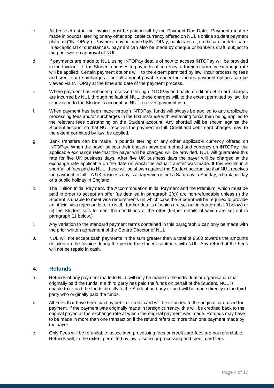- c. All fees set out in the Invoice must be paid in full by the Payment Due Date. Payment must be made in pounds' sterling or any other applicable currency offered on NUL's online student payment platform ("INTOPay"). Payment may be made by INTOPay, bank transfer, credit card or debit card. In exceptional circumstances, payment can also be made by cheque or banker's draft, subject to the prior written approval of NUL.
- d. If payments are made to NUL using INTOPay details of how to access INTOPay will be provided in the Invoice. If the Student chooses to pay in local currency, a foreign currency exchange rate will be applied. Certain payment options will, to the extent permitted by law, incur processing fees and credit-card surcharges. The full amount payable under the various payment options can be viewed via INTOPay at the time and date of the payment process.
- e. Where payment has not been processed through INTOPay and bank, credit or debit card charges are incurred by NUL through no fault of NUL, these charges will, to the extent permitted by law, be re-invoiced to the Student's account so NUL receives payment in full.
- f. When payment has been made through INTOPay, funds will always be applied to any applicable processing fees and/or surcharges in the first instance with remaining funds then being applied to the relevant fees outstanding on the Student account. Any shortfall will be shown against the Student account so that NUL receives the payment in full. Credit and debit card charges may, to the extent permitted by law, be applied.
- g. Bank transfers can be made in pounds sterling or any other applicable currency offered on INTOPay. When the payer selects their chosen payment method and currency on INTOPay, the applicable exchange rate that the payer will be charged will be provided. NUL will guarantee this rate for five UK business days. After five UK business days the payer will be charged at the exchange rate applicable on the date on which the actual transfer was made. If this results in a shortfall of fees paid to NUL, these will be shown against the Student account so that NUL receives the payment in full. A UK business day is a day which is not a Saturday, a Sunday, a bank holiday or a public holiday in England.
- h. The Tuition Initial Payment, the Accommodation Initial Payment and the Premium, which must be paid in order to accept an offer (as detailed in paragraph 2(c)) are non-refundable unless (i) the Student is unable to meet visa requirements (in which case the Student will be required to provide an official visa rejection letter to NUL, further details of which are set out in paragraph 10 below) or (ii) the Student fails to meet the conditions of the offer (further details of which are set out in paragraph 11 below.)
- i. Any variation to the standard payment terms contained in this paragraph 3 can only be made with the prior written agreement of the Centre Director of NUL.
- J. NUL will not accept cash payments in the sum greater than a total of £500 towards the amounts detailed on the Invoice during the period the student contracts with NUL. Any refund of the Fees will not be repaid in cash.

# **4. Refunds**

- a. Refunds of any payment made to NUL will only be made to the individual or organisation that originally paid the funds. If a third party has paid the funds on behalf of the Student, NUL is unable to refund the funds directly to the Student and any refund will be made directly to the third party who originally paid the funds.
- b. All Fees that have been paid by debit or credit card will be refunded to the original card used for payment. If the payment was originally made in foreign currency, this will be credited back to the original payee at the exchange rate at which the original payment was made. Refunds may have to be made in more than one transaction if the refund refers to more than one payment made by the payer.
- c. Only Fees will be refundable: associated processing fees or credit card fees are not refundable. Refunds will, to the extent permitted by law, also incur processing and credit card fees.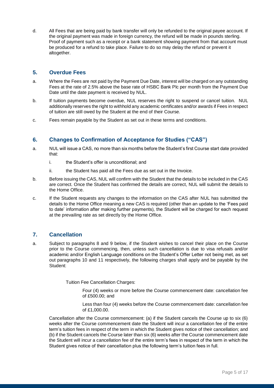d. All Fees that are being paid by bank transfer will only be refunded to the original payee account. If the original payment was made in foreign currency, the refund will be made in pounds sterling. Proof of payment such as a receipt or a bank statement showing payment from that account must be produced for a refund to take place. Failure to do so may delay the refund or prevent it altogether.

# **5. Overdue Fees**

- a. Where the Fees are not paid by the Payment Due Date, interest will be charged on any outstanding Fees at the rate of 2.5% above the base rate of HSBC Bank Plc per month from the Payment Due Date until the date payment is received by NUL.
- b. If tuition payments become overdue, NUL reserves the right to suspend or cancel tuition. NUL additionally reserves the right to withhold any academic certificates and/or awards if Fees in respect of tuition are still owed by the Student at the end of their Course.
- c. Fees remain payable by the Student as set out in these terms and conditions.

# **6. Changes to Confirmation of Acceptance for Studies ("CAS")**

- a. NUL will issue a CAS, no more than six months before the Student's first Course start date provided that:
	- i. the Student's offer is unconditional; and
	- ii. the Student has paid all the Fees due as set out in the Invoice.
- b. Before issuing the CAS, NUL will confirm with the Student that the details to be included in the CAS are correct. Once the Student has confirmed the details are correct, NUL will submit the details to the Home Office.
- c. If the Student requests any changes to the information on the CAS after NUL has submitted the details to the Home Office meaning a new CAS is required (other than an update to the 'Fees paid to date' information after making further payments), the Student will be charged for each request at the prevailing rate as set directly by the Home Office.

# **7. Cancellation**

a. Subject to paragraphs 8 and 9 below, if the Student wishes to cancel their place on the Course prior to the Course commencing, then, unless such cancellation is due to visa refusals and/or academic and/or English Language conditions on the Student's Offer Letter not being met, as set out paragraphs 10 and 11 respectively, the following charges shall apply and be payable by the Student:

Tuition Fee Cancellation Charges:

Four (4) weeks or more before the Course commencement date: cancellation fee of £500.00; and

Less than four (4) weeks before the Course commencement date: cancellation fee of £1,000.00.

Cancellation after the Course commencement: (a) if the Student cancels the Course up to six (6) weeks after the Course commencement date the Student will incur a cancellation fee of the entire term's tuition fees in respect of the term in which the Student gives notice of their cancellation; and (b) if the Student cancels the Course later than six (6) weeks after the Course commencement date the Student will incur a cancellation fee of the entire term's fees in respect of the term in which the Student gives notice of their cancellation plus the following term's tuition fees in full.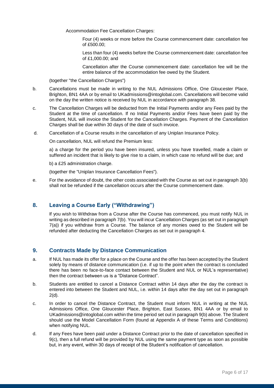Accommodation Fee Cancellation Charges:

Four (4) weeks or more before the Course commencement date: cancellation fee of £500.00;

Less than four (4) weeks before the Course commencement date: cancellation fee of £1,000.00; and

Cancellation after the Course commencement date: cancellation fee will be the entire balance of the accommodation fee owed by the Student.

(together "the Cancellation Charges")

- b. Cancellations must be made in writing to the NUL Admissions Office, One Gloucester Place, Brighton, BN1 4AA or by email to UKadmissions@intoglobal.com. Cancellations will become valid on the day the written notice is received by NUL in accordance with paragraph 38.
- c. The Cancellation Charges will be deducted from the Initial Payments and/or any Fees paid by the Student at the time of cancellation. If no Initial Payments and/or Fees have been paid by the Student, NUL will invoice the Student for the Cancellation Charges. Payment of the Cancellation Charges shall be due within 30 days of the date of such invoice.
- d. Cancellation of a Course results in the cancellation of any Uniplan Insurance Policy.

On cancellation, NUL will refund the Premium less:

a) a charge for the period you have been insured, unless you have travelled, made a claim or suffered an incident that is likely to give rise to a claim, in which case no refund will be due; and

b) a £25 administration charge.

(together the "Uniplan Insurance Cancellation Fees").

e. For the avoidance of doubt, the other costs associated with the Course as set out in paragraph 3(b) shall not be refunded if the cancellation occurs after the Course commencement date.

# **8. Leaving a Course Early ("Withdrawing")**

If you wish to Withdraw from a Course after the Course has commenced, you must notify NUL in writing as described in paragraph 7(b). You will incur Cancellation Charges (as set out in paragraph 7(a)) if you withdraw from a Course. The balance of any monies owed to the Student will be refunded after deducting the Cancellation Charges as set out in paragraph 4.

# **9. Contracts Made by Distance Communication**

- a. If NUL has made its offer for a place on the Course and the offer has been accepted by the Student solely by means of distance communication (i.e. if up to the point when the contract is concluded there has been no face-to-face contact between the Student and NUL or NUL's representative) then the contract between us is a "Distance Contract".
- b. Students are entitled to cancel a Distance Contract within 14 days after the day the contract is entered into between the Student and NUL, i.e. within 14 days after the day set out in paragraph 2(d).
- c. In order to cancel the Distance Contract, the Student must inform NUL in writing at the NUL Admissions Office, One Gloucester Place, Brighton, East Sussex, BN1 4AA or by email to UKadmissions@intoglobal.com within the time period set out in paragraph 9(b) above. The Student should use the Model Cancellation Form (found at Appendix A of these Terms and Conditions) when notifying NUL.
- d. If any Fees have been paid under a Distance Contract prior to the date of cancellation specified in 9(c), then a full refund will be provided by NUL using the same payment type as soon as possible but, in any event, within 30 days of receipt of the Student's notification of cancellation.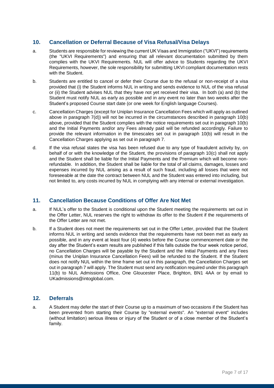# **10. Cancellation or Deferral Because of Visa Refusal/Visa Delays**

- a. Students are responsible for reviewing the current UK Visas and Immigration ("UKVI") requirements (the "UKVI Requirements") and ensuring that all relevant documentation submitted by them complies with the UKVI Requirements. NUL will offer advice to Students regarding the UKVI Requirements, however, the sole responsibility for submitting UKVI compliant documentation rests with the Student.
- b. Students are entitled to cancel or defer their Course due to the refusal or non-receipt of a visa provided that (i) the Student informs NUL in writing and sends evidence to NUL of the visa refusal or (ii) the Student advises NUL that they have not yet received their visa. In both (a) and (b) the Student must notify NUL as early as possible and in any event no later than two weeks after the Student's proposed Course start date (or one week for English language Courses).
- c. Cancellation Charges (except for Uniplan Insurance Cancellation Fees which will apply as outlined above in paragraph 7(d)) will not be incurred in the circumstances described in paragraph 10(b) above, provided that the Student complies with the notice requirements set out in paragraph 10(b) and the Initial Payments and/or any Fees already paid will be refunded accordingly. Failure to provide the relevant information in the timescales set out in paragraph 10(b) will result in the Cancellation Charges applying as set out in paragraph 7.
- d. If the visa refusal states the visa has been refused due to any type of fraudulent activity by, on behalf of or with the knowledge of the Student, the provisions of paragraph 10(c) shall not apply and the Student shall be liable for the Initial Payments and the Premium which will become nonrefundable. In addition, the Student shall be liable for the total of all claims, damages, losses and expenses incurred by NUL arising as a result of such fraud, including all losses that were not foreseeable at the date the contract between NUL and the Student was entered into including, but not limited to, any costs incurred by NUL in complying with any internal or external investigation.

# **11. Cancellation Because Conditions of Offer Are Not Met**

- a. If NUL's offer to the Student is conditional upon the Student meeting the requirements set out in the Offer Letter, NUL reserves the right to withdraw its offer to the Student if the requirements of the Offer Letter are not met.
- b. If a Student does not meet the requirements set out in the Offer Letter, provided that the Student informs NUL in writing and sends evidence that the requirements have not been met as early as possible, and in any event at least four (4) weeks before the Course commencement date or the day after the Student's exam results are published if this falls outside the four week notice period, no Cancellation Charges will be payable by the Student and the Initial Payments and any Fees (minus the Uniplan Insurance Cancellation Fees) will be refunded to the Student. If the Student does not notify NUL within the time frame set out in this paragraph, the Cancellation Charges set out in paragraph 7 will apply. The Student must send any notification required under this paragraph 11(b) to NUL Admissions Office, One Gloucester Place, Brighton, BN1 4AA or by email to UKadmissions@intoglobal.com.

# **12. Deferrals**

a. A Student may defer the start of their Course up to a maximum of two occasions if the Student has been prevented from starting their Course by "external events". An "external event" includes (without limitation) serious illness or injury of the Student or of a close member of the Student's family.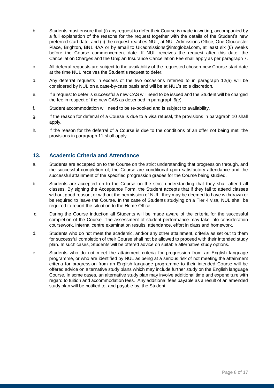- b. Students must ensure that (i) any request to defer their Course is made in writing, accompanied by a full explanation of the reasons for the request together with the details of the Student's new preferred start date, and (ii) the request reaches NUL, at NUL Admissions Office, One Gloucester Place, Brighton, BN1 4AA or by email to UKadmissions@intoglobal.com, at least six (6) weeks before the Course commencement date. If NUL receives the request after this date, the Cancellation Charges and the Uniplan Insurance Cancellation Fee shall apply as per paragraph 7.
- c. All deferral requests are subject to the availability of the requested chosen new Course start date at the time NUL receives the Student's request to defer.
- d. Any deferral requests in excess of the two occasions referred to in paragraph 12(a) will be considered by NUL on a case-by-case basis and will be at NUL's sole discretion.
- e. If a request to defer is successful a new CAS will need to be issued and the Student will be charged the fee in respect of the new CAS as described in paragraph 6(c).
- f. Student accommodation will need to be re-booked and is subject to availability.
- g. If the reason for deferral of a Course is due to a visa refusal, the provisions in paragraph 10 shall apply.
- h. If the reason for the deferral of a Course is due to the conditions of an offer not being met, the provisions in paragraph 11 shall apply.

# **13. Academic Criteria and Attendance**

- a. Students are accepted on to the Course on the strict understanding that progression through, and the successful completion of, the Course are conditional upon satisfactory attendance and the successful attainment of the specified progression grades for the Course being studied.
- b. Students are accepted on to the Course on the strict understanding that they shall attend all classes. By signing the Acceptance Form, the Student accepts that if they fail to attend classes without good reason, or without the permission of NUL, they may be deemed to have withdrawn or be required to leave the Course. In the case of Students studying on a Tier 4 visa, NUL shall be required to report the situation to the Home Office.
- c. During the Course induction all Students will be made aware of the criteria for the successful completion of the Course. The assessment of student performance may take into consideration coursework, internal centre examination results, attendance, effort in class and homework.
- d. Students who do not meet the academic, and/or any other attainment, criteria as set out to them for successful completion of their Course shall not be allowed to proceed with their intended study plan. In such cases, Students will be offered advice on suitable alternative study options.
- e. Students who do not meet the attainment criteria for progression from an English language programme, or who are identified by NUL as being at a serious risk of not meeting the attainment criteria for progression from an English language programme to their intended Course will be offered advice on alternative study plans which may include further study on the English language Course. In some cases, an alternative study plan may involve additional time and expenditure with regard to tuition and accommodation fees. Any additional fees payable as a result of an amended study plan will be notified to, and payable by, the Student.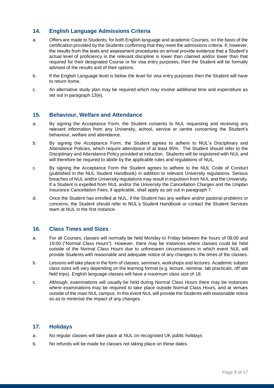# **14. English Language Admissions Criteria**

- a. Offers are made to Students, for both English language and academic Courses, on the basis of the certification provided by the Students confirming that they meet the admissions criteria. If, however, the results from the tests and assessment procedures on arrival provide evidence that a Student's actual level of proficiency in the relevant discipline is lower than claimed and/or lower than that required for their designated Course or for visa entry purposes, then the Student will be formally advised of the results and of their options.
- b. If the English Language level is below the level for visa entry purposes then the Student will have to return home.
- c. An alternative study plan may be required which may involve additional time and expenditure as set out in paragraph 13(e).

#### **15. Behaviour, Welfare and Attendance**

- a. By signing the Acceptance Form, the Student consents to NUL requesting and receiving any relevant information from any University, school, service or centre concerning the Student's behaviour, welfare and attendance.
- b. By signing the Acceptance Form, the Student agrees to adhere to NUL's Disciplinary and Attendance Policies, which require attendance of at least 95%. The Student should refer to the Disciplinary and Attendance Policy provided at induction. Students will be registered with NUL and will therefore be required to abide by the applicable rules and regulations of NUL.
- c. By signing the Acceptance Form the Student agrees to adhere to the NUL Code of Conduct (published in the NUL Student Handbook) in addition to relevant University regulations. Serious breaches of NUL and/or University regulations may result in expulsion from NUL and the University. If a Student is expelled from NUL and/or the University the Cancellation Charges and the Uniplan Insurance Cancellation Fees, if applicable, shall apply as set out in paragraph 7.
- d. Once the Student has enrolled at NUL, if the Student has any welfare and/or pastoral problems or concerns, the Student should refer to NUL's Student Handbook or contact the Student Services team at NUL in the first instance.

## **16. Class Times and Sizes**

- a. For all Courses, classes will normally be held Monday to Friday between the hours of 08:00 and 19:00 ("Normal Class Hours"). However, there may be instances where classes could be held outside of the Normal Class Hours due to unforeseen circumstances in which event NUL will provide Students with reasonable and adequate notice of any changes to the times of the classes.
- b. Lessons will take place in the form of classes, seminars, workshops and lectures. Academic subject class sizes will vary depending on the learning format (e.g. lecture, seminar, lab practicals, off site field trips). English language classes will have a maximum class size of 18.
- c. Although, examinations will usually be held during Normal Class Hours there may be instances where examinations may be required to take place outside Normal Class Hours, and at venues outside of the main NUL campus. In this event NUL will provide the Students with reasonable notice so as to minimise the impact of any changes.

#### **17. Holidays**

- a. No regular classes will take place at NUL on recognised UK public holidays
- b. No refunds will be made for classes not taking place on these dates.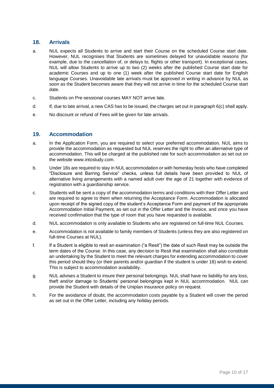# **18. Arrivals**

- a. NUL expects all Students to arrive and start their Course on the scheduled Course start date. However, NUL recognises that Students are sometimes delayed for unavoidable reasons (for example, due to the cancellation of, or delays to, flights or other transport). In exceptional cases, NUL will allow Students to arrive up to two (2) weeks after the published Course start date for academic Courses and up to one (1) week after the published Course start date for English language Courses. Unavoidable late arrivals must be approved in writing in advance by NUL as soon as the Student becomes aware that they will not arrive in time for the scheduled Course start date.
- c. Students on Pre-sessional courses MAY NOT arrive late.
- d. If, due to late arrival, a new CAS has to be issued, the charges set out in paragraph 6(c) shall apply.
- e. No discount or refund of Fees will be given for late arrivals.

## **19. Accommodation**

- a. In the Application Form, you are required to select your preferred accommodation. NUL aims to provide the accommodation as requested but NUL reserves the right to offer an alternative type of accommodation. This will be charged at the published rate for such accommodation as set out on the website www.intostudy.com.
- b. Under 18s are required to stay in NULaccommodation or with homestay hosts who have completed "Disclosure and Barring Service" checks, unless full details have been provided to NUL of alternative living arrangements with a named adult over the age of 21 together with evidence of registration with a guardianship service.
- c. Students will be sent a copy of the accommodation terms and conditions with their Offer Letter and are required to agree to them when returning the Acceptance Form. Accommodation is allocated upon receipt of the signed copy of the student's Acceptance Form and payment of the appropriate Accommodation Initial Payment, as set out in the Offer Letter and the Invoice, and once you have received confirmation that the type of room that you have requested is available.
- d. NUL accommodation is only available to Students who are registered on full-time NUL Courses.
- e. Accommodation is not available to family members of Students (unless they are also registered on full-time Courses at NUL).
- f. If a Student is eligible to resit an examination ("a Resit") the date of such Resit may be outside the term dates of the Course. In this case, any decision to Resit that examination shall also constitute an undertaking by the Student to meet the relevant charges for extending accommodation to cover this period should they (or their parents and/or guardian if the student is under 18) wish to extend. This is subject to accommodation availability.
- g. NUL advises a Student to insure their personal belongings. NUL shall have no liability for any loss, theft and/or damage to Students' personal belongings kept in NUL accommodation. NUL can provide the Student with details of the Uniplan insurance policy on request.
- h. For the avoidance of doubt, the accommodation costs payable by a Student will cover the period as set out in the Offer Letter, including any holiday periods.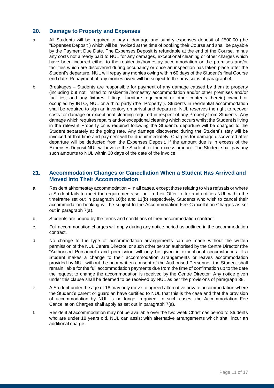## **20. Damage to Property and Expenses**

- a. All Students will be required to pay a damage and sundry expenses deposit of £500.00 (the "Expenses Deposit") which will be invoiced at the time of booking their Course and shall be payable by the Payment Due Date. The Expenses Deposit is refundable at the end of the Course, minus any costs not already paid to NUL for any damages, exceptional cleaning or other charges which have been incurred either to the residential/homestay accommodation or the premises and/or facilities which are discovered during occupancy or once an inspection has taken place after the Student's departure. NUL will repay any monies owing within 60 days of the Student's final Course end date. Repayment of any monies owed will be subject to the provisions of paragraph 4.
- b. Breakages Students are responsible for payment of any damage caused by them to property (including but not limited to residential/homestay accommodation and/or other premises and/or facilities, and any fixtures, fittings, furniture, equipment or other contents therein) owned or occupied by INTO, NUL or a third party (the "Property"). Students in residential accommodation shall be required to sign an inventory on arrival and departure. NUL reserves the right to recover costs for damage or exceptional cleaning required in respect of any Property from Students. Any damage which requires repairs and/or exceptional cleaning which occurs whilst the Student is living in the relevant Property or is required following the Student's departure will be charged to the Student separately at the going rate. Any damage discovered during the Student's stay will be invoiced at that time and payment will be due immediately. Charges for damage discovered after departure will be deducted from the Expenses Deposit. If the amount due is in excess of the Expenses Deposit NUL will invoice the Student for the excess amount. The Student shall pay any such amounts to NUL within 30 days of the date of the invoice.

#### **21. Accommodation Changes or Cancellation When a Student Has Arrived and Moved Into Their Accommodation**

- a. Residential/homestay accommodation In all cases, except those relating to visa refusals or where a Student fails to meet the requirements set out in their Offer Letter and notifies NUL within the timeframe set out in paragraph 10(b) and 11(b) respectively, Students who wish to cancel their accommodation booking will be subject to the Accommodation Fee Cancellation Charges as set out in paragraph 7(a).
- b. Students are bound by the terms and conditions of their accommodation contract.
- c. Full accommodation charges will apply during any notice period as outlined in the accommodation contract.
- d. No change to the type of accommodation arrangements can be made without the written permission of the NUL Centre Director, or such other person authorised by the Centre Director (the "Authorised Personnel") and permission will only be given in exceptional circumstances. If a Student makes a change to their accommodation arrangements or leaves accommodation provided by NUL without the prior written consent of the Authorised Personnel, the Student shall remain liable for the full accommodation payments due from the time of confirmation up to the date the request to change the accommodation is received by the Centre Director Any notice given under this clause shall be deemed to be received by NUL as per the provisions of paragraph 38.
- e. A Student under the age of 18 may only move to agreed alternative private accommodation where the Student's parent or guardian have certified to NUL that this is the case and that the provision of accommodation by NUL is no longer required. In such cases, the Accommodation Fee Cancellation Charges shall apply as set out in paragraph 7(a).
- f. Residential accommodation may not be available over the two week Christmas period to Students who are under 18 years old. NUL can assist with alternative arrangements which shall incur an additional charge.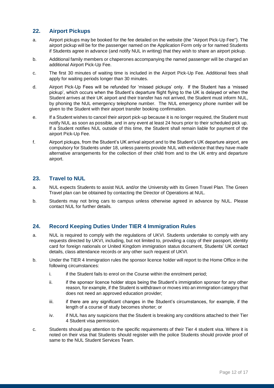# **22. Airport Pickups**

- a. Airport pickups may be booked for the fee detailed on the website (the "Airport Pick-Up Fee"). The airport pickup will be for the passenger named on the Application Form only or for named Students if Students agree in advance (and notify NUL in writing) that they wish to share an airport pickup.
- b. Additional family members or chaperones accompanying the named passenger will be charged an additional Airport Pick-Up Fee.
- c. The first 30 minutes of waiting time is included in the Airport Pick-Up Fee. Additional fees shall apply for waiting periods longer than 30 minutes.
- d. Airport Pick-Up Fees will be refunded for 'missed pickups' only. If the Student has a 'missed pickup', which occurs when the Student's departure flight flying to the UK is delayed or when the Student arrives at their UK airport and their transfer has not arrived, the Student must inform NUL, by phoning the NUL emergency telephone number. The NUL emergency phone number will be given to the Student with their airport transfer booking confirmation.
- e. If a Student wishes to cancel their airport pick-up because it is no longer required, the Student must notify NUL as soon as possible, and in any event at least 24 hours prior to their scheduled pick up. If a Student notifies NUL outside of this time, the Student shall remain liable for payment of the airport Pick-Up Fee.
- f. Airport pickups, from the Student's UK arrival airport and to the Student's UK departure airport, are compulsory for Students under 18, unless parents provide NUL with evidence that they have made alternative arrangements for the collection of their child from and to the UK entry and departure airport.

# **23. Travel to NUL**

- a. NUL expects Students to assist NUL and/or the University with its Green Travel Plan. The Green Travel plan can be obtained by contacting the Director of Operations at NUL.
- b. Students may not bring cars to campus unless otherwise agreed in advance by NUL. Please contact NUL for further details.

## **24. Record Keeping Duties Under TIER 4 Immigration Rules**

- a. NUL is required to comply with the regulations of UKVI. Students undertake to comply with any requests directed by UKVI, including, but not limited to, providing a copy of their passport, identity card for foreign nationals or United Kingdom immigration status document, Students' UK contact details, class attendance records or any other such request of UKVI.
- b. Under the TIER 4 Immigration rules the sponsor licence holder will report to the Home Office in the following circumstances:
	- i. if the Student fails to enrol on the Course within the enrolment period;
	- ii. if the sponsor licence holder stops being the Student's immigration sponsor for any other reason, for example, if the Student is withdrawn or moves into an immigration category that does not need an approved education provider;
	- iii. if there are any significant changes in the Student's circumstances, for example, if the length of a course of study becomes shorter; or
	- iv. if NUL has any suspicions that the Student is breaking any conditions attached to their Tier 4 Student visa permission.
- c. Students should pay attention to the specific requirements of their Tier 4 student visa. Where it is noted on their visa that Students should register with the police Students should provide proof of same to the NUL Student Services Team.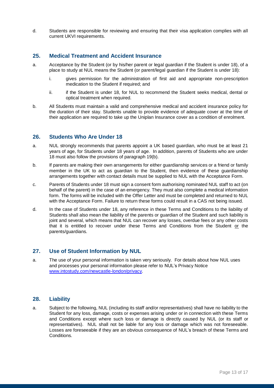d. Students are responsible for reviewing and ensuring that their visa application complies with all current UKVI requirements.

#### **25. Medical Treatment and Accident Insurance**

- a. Acceptance by the Student (or by his/her parent or legal guardian if the Student is under 18), of a place to study at NUL means the Student (or parent/legal guardian if the Student is under 18):
	- i. gives permission for the administration of first aid and appropriate non-prescription medication to the Student if required; and
	- ii. if the Student is under 18, for NUL to recommend the Student seeks medical, dental or optical treatment when required.
- b. All Students must maintain a valid and comprehensive medical and accident insurance policy for the duration of their stay. Students unable to provide evidence of adequate cover at the time of their application are required to take up the Uniplan Insurance cover as a condition of enrolment.

## **26. Students Who Are Under 18**

- a. NUL strongly recommends that parents appoint a UK based guardian, who must be at least 21 years of age, for Students under 18 years of age. In addition, parents of Students who are under 18 must also follow the provisions of paragraph 19(b).
- b. If parents are making their own arrangements for either guardianship services or a friend or family member in the UK to act as guardian to the Student, then evidence of these guardianship arrangements together with contact details must be supplied to NUL with the Acceptance Form.
- c. Parents of Students under 18 must sign a consent form authorising nominated NUL staff to act (on behalf of the parent) in the case of an emergency. They must also complete a medical information form. The forms will be included with the Offer Letter and must be completed and returned to NUL with the Acceptance Form. Failure to return these forms could result in a CAS not being issued.
- d. In the case of Students under 18, any reference in these Terms and Conditions to the liability of Students shall also mean the liability of the parents or guardian of the Student and such liability is joint and several, which means that NUL can recover any losses, overdue fees or any other costs that it is entitled to recover under these Terms and Conditions from the Student or the parents/guardians.

## **27. Use of Student Information by NUL**

a. The use of your personal information is taken very seriously. For details about how NUL uses and processes your personal information please refer to NUL's Privacy Notice [www.intostudy.com/newcastle-london/privacy.](https://emea01.safelinks.protection.outlook.com/?url=http%3A%2F%2Fwww.intostudy.com%2Fnewcastle-london%2Fprivacy&data=02%7C01%7C%7Cc7a06c67fa424bdc661b08d60f5144f2%7C335d05764b2343169e3aaef25ac54543%7C0%7C0%7C636713239043848671&sdata=kXKnIkZOMYJNIZ1mZpA1SW0sMRs3Z9HIdt%2BUBLiT4mY%3D&reserved=0)

## **28. Liability**

a. Subject to the following, NUL (including its staff and/or representatives) shall have no liability to the Student for any loss, damage, costs or expenses arising under or in connection with these Terms and Conditions except where such loss or damage is directly caused by NUL (or its staff or representatives). NUL shall not be liable for any loss or damage which was not foreseeable. Losses are foreseeable if they are an obvious consequence of NUL's breach of these Terms and **Conditions**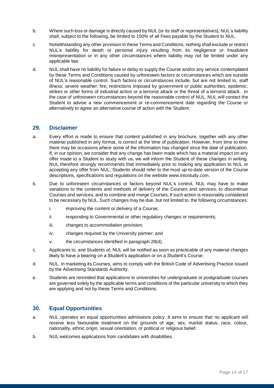- b. Where such loss or damage is directly caused by NUL (or its staff or representatives), NUL's liability shall, subject to the following, be limited to 150% of all Fees payable by the Student to NUL.
- c. Notwithstanding any other provision in these Terms and Conditions, nothing shall exclude or restrict NUL's liability for death or personal injury resulting from its negligence or fraudulent misrepresentation or in any other circumstances where liability may not be limited under any applicable law.
- d. NUL shall have no liability for failure or delay to supply the Course and/or any service contemplated by these Terms and Conditions caused by unforeseen factors or circumstances which are outside of NUL's reasonable control. Such factors or circumstances include, but are not limited to, staff illness; severe weather; fire; restrictions imposed by government or public authorities; epidemic; strikes or other forms of industrial action or a terrorist attack or the threat of a terrorist attack. In the case of unforeseen circumstances beyond the reasonable control of NUL, NUL will contact the Student to advise a new commencement or re-commencement date regarding the Course or alternatively to agree an alternative course of action with the Student.

## **29. Disclaimer**

- a. Every effort is made to ensure that content published in any brochure, together with any other material published in any format, is correct at the time of publication. However, from time to time there may be occasions where some of the information has changed since the date of publication. If, in our opinion, we consider that any change has been made which has a material impact on any offer made to a Student to study with us, we will inform the Student of these changes in writing. NUL therefore strongly recommends that immediately prior to making any application to NUL or accepting any offer from NUL, Students should refer to the most up-to-date version of the Course descriptions, specifications and regulations on the website www.intostudy.com.
- b. Due to unforeseen circumstances or factors beyond NUL's control, NUL may have to make variations to the contents and methods of delivery of the Courses and services, to discontinue Courses and services, and to combine and merge Courses, if such action is reasonably considered to be necessary by NUL. Such changes may be due, but not limited to, the following circumstances:
	- i. improving the content or delivery of a Course;
	- ii. responding to Governmental or other regulatory changes or requirements;
	- iii. changes to accommodation provision;
	- iv. changes required by the University partner; and
	- v. the circumstances identified in paragraph 28(d).
- c. Applicants to, and Students of, NUL will be notified as soon as practicable of any material changes likely to have a bearing on a Student's application or on a Student's Course.
- d. NUL, in marketing its Courses, aims to comply with the British Code of Advertising Practice issued by the Advertising Standards Authority.
- e. Students are reminded that applications to universities for undergraduate or postgraduate courses are governed solely by the applicable terms and conditions of the particular university to which they are applying and not by these Terms and Conditions.

# **30. Equal Opportunities**

- a. NUL operates an equal opportunities admissions policy. It aims to ensure that no applicant will receive less favourable treatment on the grounds of age, sex, marital status, race, colour, nationality, ethnic origin, sexual orientation, or political or religious belief.
- b. NUL welcomes applications from candidates with disabilities.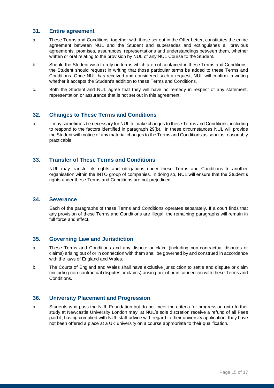#### **31. Entire agreement**

- a. These Terms and Conditions, together with those set out in the Offer Letter, constitutes the entire agreement between NUL and the Student and supersedes and extinguishes all previous agreements, promises, assurances, representations and understandings between them, whether written or oral relating to the provision by NUL of any NUL Course to the Student.
- b. Should the Student wish to rely on terms which are not contained in these Terms and Conditions, the Student should request in writing that those particular terms be added to these Terms and Conditions. Once NUL has received and considered such a request, NUL will confirm in writing whether it accepts the Student's addition to these Terms and Conditions.
- c. Both the Student and NUL agree that they will have no remedy in respect of any statement, representation or assurance that is not set out in this agreement.

## **32. Changes to These Terms and Conditions**

a. It may sometimes be necessary for NUL to make changes to these Terms and Conditions, including to respond to the factors identified in paragraph 29(b). In these circumstances NUL will provide the Student with notice of any material changes to the Terms and Conditions as soon as reasonably practicable.

# **33. Transfer of These Terms and Conditions**

NUL may transfer its rights and obligations under these Terms and Conditions to another organisation within the INTO group of companies. In doing so, NUL will ensure that the Student's rights under these Terms and Conditions are not prejudiced.

#### **34. Severance**

Each of the paragraphs of these Terms and Conditions operates separately. If a court finds that any provision of these Terms and Conditions are illegal, the remaining paragraphs will remain in full force and effect.

#### **35. Governing Law and Jurisdiction**

- a. These Terms and Conditions and any dispute or claim (including non-contractual disputes or claims) arising out of or in connection with them shall be governed by and construed in accordance with the laws of England and Wales.
- b. The Courts of England and Wales shall have exclusive jurisdiction to settle and dispute or claim (including non-contractual disputes or claims) arising out of or in connection with these Terms and Conditions.

#### **36. University Placement and Progression**

a. Students who pass the NUL Foundation but do not meet the criteria for progression onto further study at Newcastle University London may, at NUL's sole discretion receive a refund of all Fees paid if, having complied with NUL staff advice with regard to their university application, they have not been offered a place at a UK university on a course appropriate to their qualification.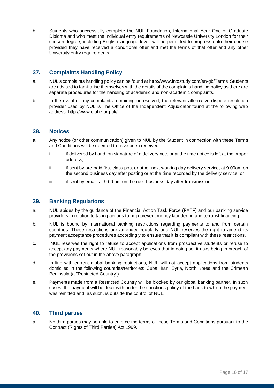b. Students who successfully complete the NUL Foundation, International Year One or Graduate Diploma and who meet the individual entry requirements of Newcastle University London for their chosen degree, including English language level, will be permitted to progress onto their course provided they have received a conditional offer and met the terms of that offer and any other University entry requirements.

# **37. Complaints Handling Policy**

- a. NUL's complaints handling policy can be found at<http://www.intostudy.com/en-gb/Terms>Students are advised to familiarise themselves with the details of the complaints handling policy as there are separate procedures for the handling of academic and non-academic complaints.
- b. In the event of any complaints remaining unresolved, the relevant alternative dispute resolution provider used by NUL is The Office of the Independent Adjudicator found at the following web address http://www.oiahe.org.uk/

## **38. Notices**

- a. Any notice (or other communication) given to NUL by the Student in connection with these Terms and Conditions will be deemed to have been received:
	- i. if delivered by hand, on signature of a delivery note or at the time notice is left at the proper address;
	- ii. if sent by pre-paid first-class post or other next working day delivery service, at 9.00am on the second business day after posting or at the time recorded by the delivery service; or
	- iii. if sent by email, at 9.00 am on the next business day after transmission.

## **39. Banking Regulations**

- a. NUL abides by the guidance of the Financial Action Task Force (FATF) and our banking service providers in relation to taking actions to help prevent money laundering and terrorist financing.
- b. NUL is bound by international banking restrictions regarding payments to and from certain countries. These restrictions are amended regularly and NUL reserves the right to amend its payment acceptance procedures accordingly to ensure that it is compliant with these restrictions.
- c. NUL reserves the right to refuse to accept applications from prospective students or refuse to accept any payments where NUL reasonably believes that in doing so, it risks being in breach of the provisions set out in the above paragraph.
- d. In line with current global banking restrictions, NUL will not accept applications from students domiciled in the following countries/territories: Cuba, Iran, Syria, North Korea and the Crimean Peninsula (a "Restricted Country")
- e. Payments made from a Restricted Country will be blocked by our global banking partner. In such cases, the payment will be dealt with under the sanctions policy of the bank to which the payment was remitted and, as such, is outside the control of NUL.

## **40. Third parties**

a. No third parties may be able to enforce the terms of these Terms and Conditions pursuant to the Contract (Rights of Third Parties) Act 1999.